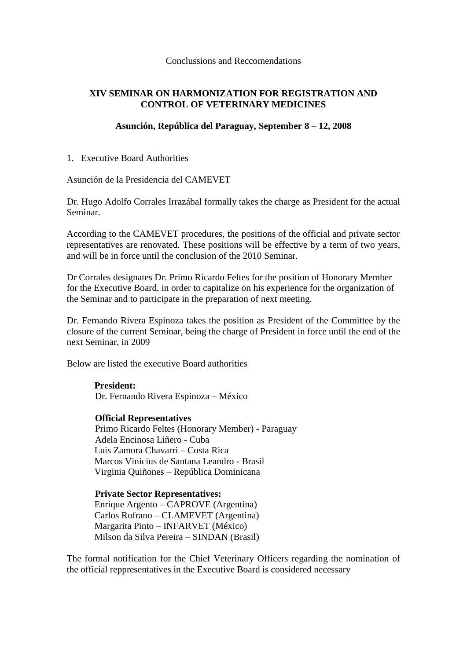Conclussions and Reccomendations

# **XIV SEMINAR ON HARMONIZATION FOR REGISTRATION AND CONTROL OF VETERINARY MEDICINES**

## **Asunción, República del Paraguay, September 8 – 12, 2008**

1. Executive Board Authorities

Asunción de la Presidencia del CAMEVET

Dr. Hugo Adolfo Corrales Irrazábal formally takes the charge as President for the actual Seminar.

According to the CAMEVET procedures, the positions of the official and private sector representatives are renovated. These positions will be effective by a term of two years, and will be in force until the conclusion of the 2010 Seminar.

Dr Corrales designates Dr. Primo Ricardo Feltes for the position of Honorary Member for the Executive Board, in order to capitalize on his experience for the organization of the Seminar and to participate in the preparation of next meeting.

Dr. Fernando Rivera Espinoza takes the position as President of the Committee by the closure of the current Seminar, being the charge of President in force until the end of the next Seminar, in 2009

Below are listed the executive Board authorities

**President:**  Dr. Fernando Rivera Espinoza – México

**Official Representatives** Primo Ricardo Feltes (Honorary Member) - Paraguay Adela Encinosa Liñero - Cuba Luis Zamora Chavarri – Costa Rica Marcos Vinicius de Santana Leandro - Brasil Virginia Quiñones – República Dominicana

**Private Sector Representatives:** Enrique Argento – CAPROVE (Argentina) Carlos Rufrano – CLAMEVET (Argentina) Margarita Pinto – INFARVET (México) Milson da Silva Pereira – SINDAN (Brasil)

The formal notification for the Chief Veterinary Officers regarding the nomination of the official reppresentatives in the Executive Board is considered necessary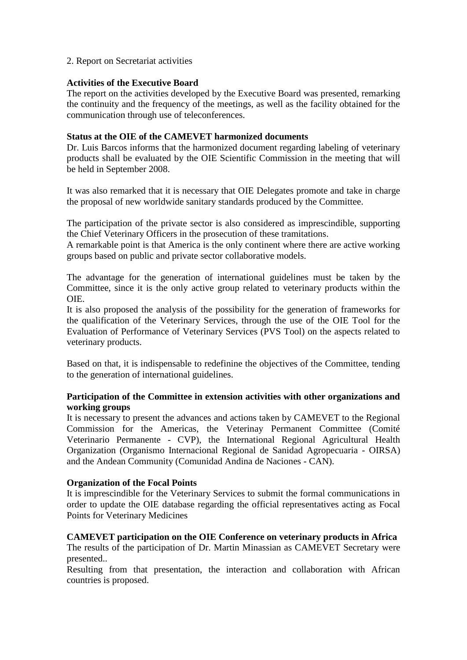## 2. Report on Secretariat activities

## **Activities of the Executive Board**

The report on the activities developed by the Executive Board was presented, remarking the continuity and the frequency of the meetings, as well as the facility obtained for the communication through use of teleconferences.

## **Status at the OIE of the CAMEVET harmonized documents**

Dr. Luis Barcos informs that the harmonized document regarding labeling of veterinary products shall be evaluated by the OIE Scientific Commission in the meeting that will be held in September 2008.

It was also remarked that it is necessary that OIE Delegates promote and take in charge the proposal of new worldwide sanitary standards produced by the Committee.

The participation of the private sector is also considered as imprescindible, supporting the Chief Veterinary Officers in the prosecution of these tramitations.

A remarkable point is that America is the only continent where there are active working groups based on public and private sector collaborative models.

The advantage for the generation of international guidelines must be taken by the Committee, since it is the only active group related to veterinary products within the OIE.

It is also proposed the analysis of the possibility for the generation of frameworks for the qualification of the Veterinary Services, through the use of the OIE Tool for the Evaluation of Performance of Veterinary Services (PVS Tool) on the aspects related to veterinary products.

Based on that, it is indispensable to redefinine the objectives of the Committee, tending to the generation of international guidelines.

## **Participation of the Committee in extension activities with other organizations and working groups**

It is necessary to present the advances and actions taken by CAMEVET to the Regional Commission for the Americas, the Veterinay Permanent Committee (Comité Veterinario Permanente - CVP), the International Regional Agricultural Health Organization (Organismo Internacional Regional de Sanidad Agropecuaria - OIRSA) and the Andean Community (Comunidad Andina de Naciones - CAN).

# **Organization of the Focal Points**

It is imprescindible for the Veterinary Services to submit the formal communications in order to update the OIE database regarding the official representatives acting as Focal Points for Veterinary Medicines

# **CAMEVET participation on the OIE Conference on veterinary products in Africa**

The results of the participation of Dr. Martin Minassian as CAMEVET Secretary were presented..

Resulting from that presentation, the interaction and collaboration with African countries is proposed.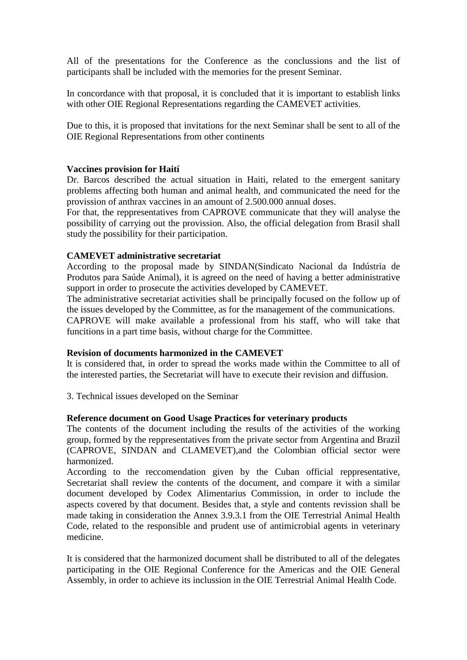All of the presentations for the Conference as the conclussions and the list of participants shall be included with the memories for the present Seminar.

In concordance with that proposal, it is concluded that it is important to establish links with other OIE Regional Representations regarding the CAMEVET activities.

Due to this, it is proposed that invitations for the next Seminar shall be sent to all of the OIE Regional Representations from other continents

### **Vaccines provision for Haití**

Dr. Barcos described the actual situation in Haiti, related to the emergent sanitary problems affecting both human and animal health, and communicated the need for the provission of anthrax vaccines in an amount of 2.500.000 annual doses.

For that, the reppresentatives from CAPROVE communicate that they will analyse the possibility of carrying out the provission. Also, the official delegation from Brasil shall study the possibility for their participation.

### **CAMEVET administrative secretariat**

According to the proposal made by SINDAN(Sindicato Nacional da Indústria de Produtos para Saúde Animal), it is agreed on the need of having a better administrative support in order to prosecute the activities developed by CAMEVET.

The administrative secretariat activities shall be principally focused on the follow up of the issues developed by the Committee, as for the management of the communications.

CAPROVE will make available a professional from his staff, who will take that funcitions in a part time basis, without charge for the Committee.

#### **Revision of documents harmonized in the CAMEVET**

It is considered that, in order to spread the works made within the Committee to all of the interested parties, the Secretariat will have to execute their revision and diffusion.

3. Technical issues developed on the Seminar

#### **Reference document on Good Usage Practices for veterinary products**

The contents of the document including the results of the activities of the working group, formed by the reppresentatives from the private sector from Argentina and Brazil (CAPROVE, SINDAN and CLAMEVET),and the Colombian official sector were harmonized.

According to the reccomendation given by the Cuban official reppresentative, Secretariat shall review the contents of the document, and compare it with a similar document developed by Codex Alimentarius Commission, in order to include the aspects covered by that document. Besides that, a style and contents revission shall be made taking in consideration the Annex 3.9.3.1 from the OIE Terrestrial Animal Health Code, related to the responsible and prudent use of antimicrobial agents in veterinary medicine.

It is considered that the harmonized document shall be distributed to all of the delegates participating in the OIE Regional Conference for the Americas and the OIE General Assembly, in order to achieve its inclussion in the OIE Terrestrial Animal Health Code.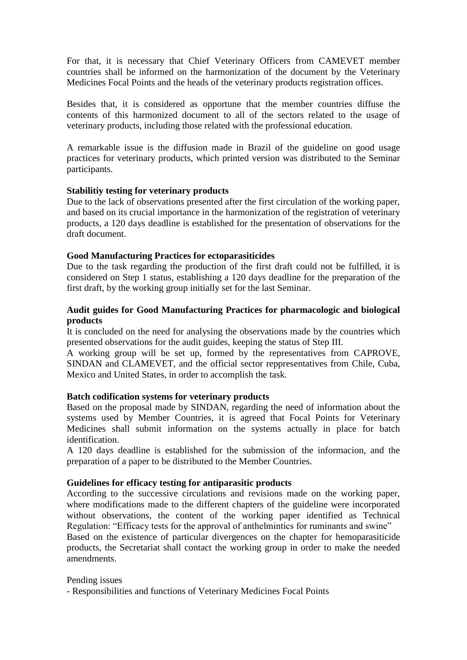For that, it is necessary that Chief Veterinary Officers from CAMEVET member countries shall be informed on the harmonization of the document by the Veterinary Medicines Focal Points and the heads of the veterinary products registration offices.

Besides that, it is considered as opportune that the member countries diffuse the contents of this harmonized document to all of the sectors related to the usage of veterinary products, including those related with the professional education.

A remarkable issue is the diffusion made in Brazil of the guideline on good usage practices for veterinary products, which printed version was distributed to the Seminar participants.

## **Stabilitiy testing for veterinary products**

Due to the lack of observations presented after the first circulation of the working paper, and based on its crucial importance in the harmonization of the registration of veterinary products, a 120 days deadline is established for the presentation of observations for the draft document.

## **Good Manufacturing Practices for ectoparasiticides**

Due to the task regarding the production of the first draft could not be fulfilled, it is considered on Step 1 status, establishing a 120 days deadline for the preparation of the first draft, by the working group initially set for the last Seminar.

## **Audit guides for Good Manufacturing Practices for pharmacologic and biological products**

It is concluded on the need for analysing the observations made by the countries which presented observations for the audit guides, keeping the status of Step III.

A working group will be set up, formed by the representatives from CAPROVE, SINDAN and CLAMEVET, and the official sector reppresentatives from Chile, Cuba, Mexico and United States, in order to accomplish the task.

## **Batch codification systems for veterinary products**

Based on the proposal made by SINDAN, regarding the need of information about the systems used by Member Countries, it is agreed that Focal Points for Veterinary Medicines shall submit information on the systems actually in place for batch identification.

A 120 days deadline is established for the submission of the informacion, and the preparation of a paper to be distributed to the Member Countries.

# **Guidelines for efficacy testing for antiparasitic products**

According to the successive circulations and revisions made on the working paper, where modifications made to the different chapters of the guideline were incorporated without observations, the content of the working paper identified as Technical Regulation: "Efficacy tests for the approval of anthelmintics for ruminants and swine"

Based on the existence of particular divergences on the chapter for hemoparasiticide products, the Secretariat shall contact the working group in order to make the needed amendments.

## Pending issues

- Responsibilities and functions of Veterinary Medicines Focal Points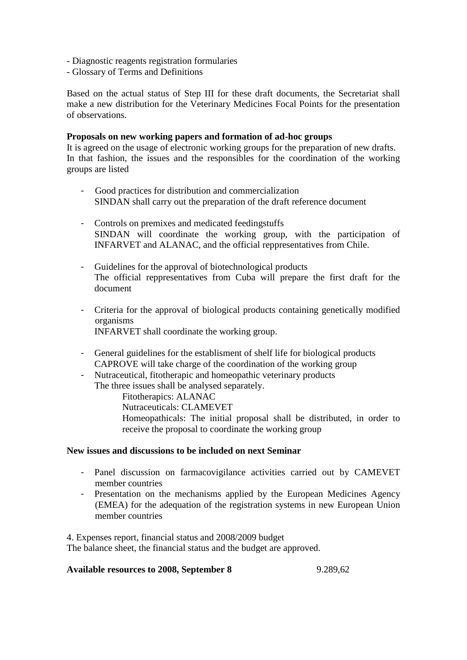- Diagnostic reagents registration formularies
- Glossary of Terms and Definitions

Based on the actual status of Step III for these draft documents, the Secretariat shall make a new distribution for the Veterinary Medicines Focal Points for the presentation of observations.

### **Proposals on new working papers and formation of ad-hoc groups**

It is agreed on the usage of electronic working groups for the preparation of new drafts. In that fashion, the issues and the responsibles for the coordination of the working groups are listed

- Good practices for distribution and commercialization SINDAN shall carry out the preparation of the draft reference document
- Controls on premixes and medicated feedingstuffs SINDAN will coordinate the working group, with the participation of INFARVET and ALANAC, and the official reppresentatives from Chile.
- Guidelines for the approval of biotechnological products The official reppresentatives from Cuba will prepare the first draft for the document
- Criteria for the approval of biological products containing genetically modified organisms INFARVET shall coordinate the working group.
- General guidelines for the establisment of shelf life for biological products CAPROVE will take charge of the coordination of the working group
- Nutraceutical, fitotherapic and homeopathic veterinary products The three issues shall be analysed separately.

Fitotherapics: ALANAC Nutraceuticals: CLAMEVET Homeopathicals: The initial proposal shall be distributed, in order to receive the proposal to coordinate the working group

#### **New issues and discussions to be included on next Seminar**

- Panel discussion on farmacovigilance activities carried out by CAMEVET member countries
- Presentation on the mechanisms applied by the European Medicines Agency (EMEA) for the adequation of the registration systems in new European Union member countries

4. Expenses report, financial status and 2008/2009 budget The balance sheet, the financial status and the budget are approved.

## **Available resources to 2008, September 8** 9.289,62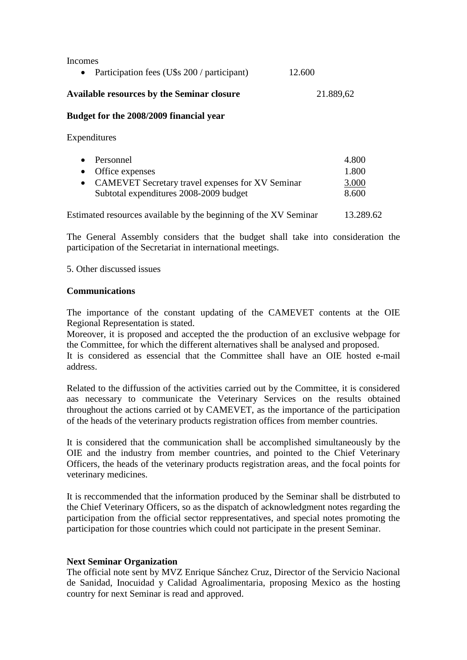Incomes

|  |  |  | Participation fees (U\$s 200 / participant) | 12.600 |  |
|--|--|--|---------------------------------------------|--------|--|
|--|--|--|---------------------------------------------|--------|--|

## Available resources by the Seminar closure **21.889.62**

#### **Budget for the 2008/2009 financial year**

Expenditures

| • Personnel                                        | 4.800 |
|----------------------------------------------------|-------|
| • Office expenses                                  | 1.800 |
| • CAMEVET Secretary travel expenses for XV Seminar | 3.000 |
| Subtotal expenditures 2008-2009 budget             | 8.600 |

Estimated resources available by the beginning of the XV Seminar 13.289.62

The General Assembly considers that the budget shall take into consideration the participation of the Secretariat in international meetings.

### 5. Other discussed issues

### **Communications**

The importance of the constant updating of the CAMEVET contents at the OIE Regional Representation is stated.

Moreover, it is proposed and accepted the the production of an exclusive webpage for the Committee, for which the different alternatives shall be analysed and proposed.

It is considered as essencial that the Committee shall have an OIE hosted e-mail address.

Related to the diffussion of the activities carried out by the Committee, it is considered aas necessary to communicate the Veterinary Services on the results obtained throughout the actions carried ot by CAMEVET, as the importance of the participation of the heads of the veterinary products registration offices from member countries.

It is considered that the communication shall be accomplished simultaneously by the OIE and the industry from member countries, and pointed to the Chief Veterinary Officers, the heads of the veterinary products registration areas, and the focal points for veterinary medicines.

It is reccommended that the information produced by the Seminar shall be distrbuted to the Chief Veterinary Officers, so as the dispatch of acknowledgment notes regarding the participation from the official sector reppresentatives, and special notes promoting the participation for those countries which could not participate in the present Seminar.

## **Next Seminar Organization**

The official note sent by MVZ Enrique Sánchez Cruz, Director of the Servicio Nacional de Sanidad, Inocuidad y Calidad Agroalimentaria, proposing Mexico as the hosting country for next Seminar is read and approved.